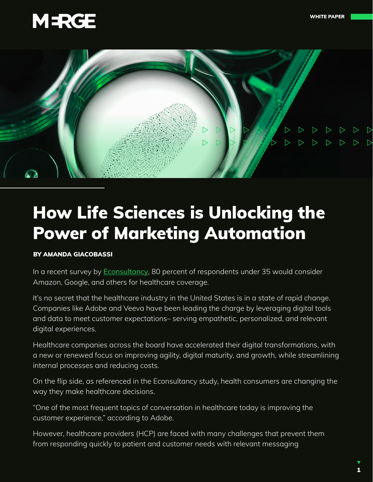



# How Life Sciences is Unlocking the Power of Marketing Automation

#### BY AMANDA GIACOBASSI

In a recent survey by **[Econsultancy](https://econsultancy.com/)**, 80 percent of respondents under 35 would consider Amazon, Google, and others for healthcare coverage.

It's no secret that the healthcare industry in the United States is in a state of rapid change. Companies like Adobe and Veeva have been leading the charge by leveraging digital tools and data to meet customer expectations– serving empathetic, personalized, and relevant digital experiences.

Healthcare companies across the board have accelerated their digital transformations, with a new or renewed focus on improving agility, digital maturity, and growth, while streamlining internal processes and reducing costs.

On the flip side, as referenced in the Econsultancy study, health consumers are changing the way they make healthcare decisions.

"One of the most frequent topics of conversation in healthcare today is improving the customer experience," according to Adobe.

However, healthcare providers (HCP) are faced with many challenges that prevent them from responding quickly to patient and customer needs with relevant messaging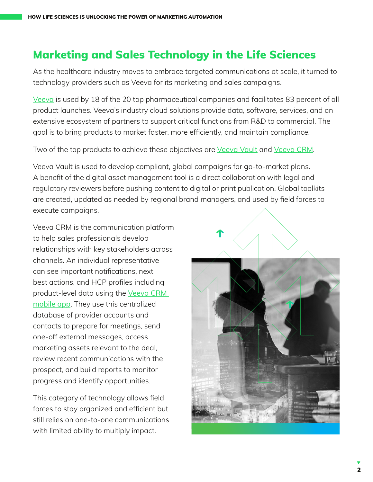### Marketing and Sales Technology in the Life Sciences

As the healthcare industry moves to embrace targeted communications at scale, it turned to technology providers such as Veeva for its marketing and sales campaigns.

[Veeva](https://www.veeva.com/) is used by 18 of the 20 top pharmaceutical companies and facilitates 83 percent of all product launches. Veeva's industry cloud solutions provide data, software, services, and an extensive ecosystem of partners to support critical functions from R&D to commercial. The goal is to bring products to market faster, more efficiently, and maintain compliance.

Two of the top products to achieve these objectives are [Veeva Vault](https://www.veeva.com/products/enterprise-content-management/) and [Veeva CRM](https://www.veeva.com/products/multichannel-crm/crm/).

Veeva Vault is used to develop compliant, global campaigns for go-to-market plans. A benefit of the digital asset management tool is a direct collaboration with legal and regulatory reviewers before pushing content to digital or print publication. Global toolkits are created, updated as needed by regional brand managers, and used by field forces to execute campaigns.

Veeva CRM is the communication platform to help sales professionals develop relationships with key stakeholders across channels. An individual representative can see important notifications, next best actions, and HCP profiles including product-level data using the Veeva CRM [mobile app](https://apps.apple.com/us/app/veeva-crm/id1418683646). They use this centralized database of provider accounts and contacts to prepare for meetings, send one-off external messages, access marketing assets relevant to the deal, review recent communications with the prospect, and build reports to monitor progress and identify opportunities.

This category of technology allows field forces to stay organized and efficient but still relies on one-to-one communications with limited ability to multiply impact.

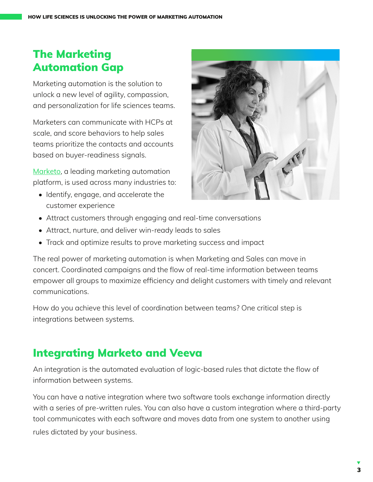# The Marketing Automation Gap

Marketing automation is the solution to unlock a new level of agility, compassion, and personalization for life sciences teams.

Marketers can communicate with HCPs at scale, and score behaviors to help sales teams prioritize the contacts and accounts based on buyer-readiness signals.

[Marketo](https://www.marketo.com/), a leading marketing automation platform, is used across many industries to:

• Identify, engage, and accelerate the customer experience



- Attract customers through engaging and real-time conversations
- Attract, nurture, and deliver win-ready leads to sales
- Track and optimize results to prove marketing success and impact

The real power of marketing automation is when Marketing and Sales can move in concert. Coordinated campaigns and the flow of real-time information between teams empower all groups to maximize efficiency and delight customers with timely and relevant communications.

How do you achieve this level of coordination between teams? One critical step is integrations between systems.

#### Integrating Marketo and Veeva

An integration is the automated evaluation of logic-based rules that dictate the flow of information between systems.

You can have a native integration where two software tools exchange information directly with a series of pre-written rules. You can also have a custom integration where a third-party tool communicates with each software and moves data from one system to another using rules dictated by your business.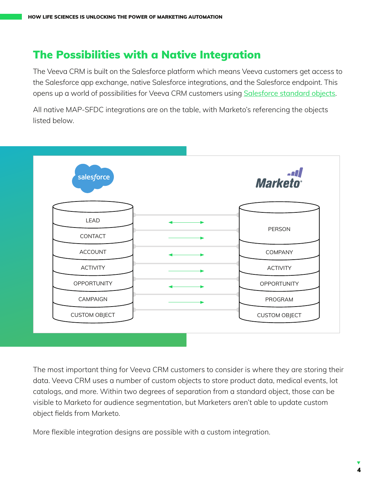### The Possibilities with a Native Integration

The Veeva CRM is built on the Salesforce platform which means Veeva customers get access to the Salesforce app exchange, native Salesforce integrations, and the Salesforce endpoint. This opens up a world of possibilities for Veeva CRM customers using [Salesforce standard objects](https://developer.salesforce.com/docs/atlas.en-us.api.meta/api/sforce_api_objects_list.htm).

All native MAP-SFDC integrations are on the table, with Marketo's referencing the objects listed below.



The most important thing for Veeva CRM customers to consider is where they are storing their data. Veeva CRM uses a number of custom objects to store product data, medical events, lot catalogs, and more. Within two degrees of separation from a standard object, those can be visible to Marketo for audience segmentation, but Marketers aren't able to update custom object fields from Marketo.

More flexible integration designs are possible with a custom integration.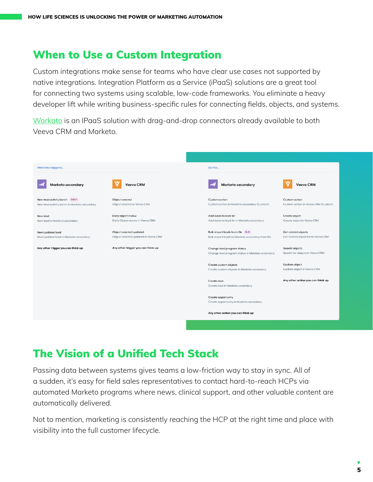#### When to Use a Custom Integration

Custom integrations make sense for teams who have clear use cases not supported by native integrations. Integration Platform as a Service (iPaaS) solutions are a great tool for connecting two systems using scalable, low-code frameworks. You eliminate a heavy developer lift while writing business-specific rules for connecting fields, objects, and systems.

[Workato](https://www.workato.com/) is an IPaaS solution with drag-and-drop connectors already available to both Veeva CRM and Marketo.

| When this happens                                                             |                                                               | Do this                                                                              |                                                             |
|-------------------------------------------------------------------------------|---------------------------------------------------------------|--------------------------------------------------------------------------------------|-------------------------------------------------------------|
| <b>Marketo secondary</b>                                                      | <b>Veeva CRM</b>                                              | Marketo secondary                                                                    | <b>Veeva CRM</b>                                            |
| New lead activity batch Batch<br>New lead activity batch in Marketo secondary | Object created<br>Object created in Veeva CRM                 | Custom action<br>Custom action in Marketo secondary (Custom)                         | Custom action<br>Custom action in Veeva CRM (Custom)        |
| New lead<br>New lead in Marketo secondary                                     | Daily object review<br>Daily Object review in Veeva CRM       | Add leads to lead list<br>Add leads to lead list in Marketo secondary                | Create object<br>Create object in Veeva CRM                 |
| New/updated lead<br>New/updated lead in Marketo secondary                     | Object created/updated<br>Object created/updated in Veeva CRM | Bulk import leads from file Bulk<br>Bulk import leads to Marketo secondary from file | Get related objects<br>Get related object list in Veeva CRM |
| Any other trigger you can think up                                            | Any other trigger you can think up                            | Change lead program status<br>Change lead program status in Marketo secondary        | Search objects<br>Search for objects in Veeva CRM           |
|                                                                               |                                                               | Create custom objects<br>Create custom objects in Marketo secondary                  | Update object<br>Update object in Veeva CRM                 |
|                                                                               |                                                               | Create lead<br>Create lead in Marketo secondary                                      | Any other action you can think up                           |
|                                                                               |                                                               | Create opportunity<br>Create opportunity in Marketo secondary                        |                                                             |
|                                                                               |                                                               | Any other action you can think up                                                    |                                                             |
|                                                                               |                                                               |                                                                                      |                                                             |

# The Vision of a Unified Tech Stack

Passing data between systems gives teams a low-friction way to stay in sync. All of a sudden, it's easy for field sales representatives to contact hard-to-reach HCPs via automated Marketo programs where news, clinical support, and other valuable content are automatically delivered.

Not to mention, marketing is consistently reaching the HCP at the right time and place with visibility into the full customer lifecycle.